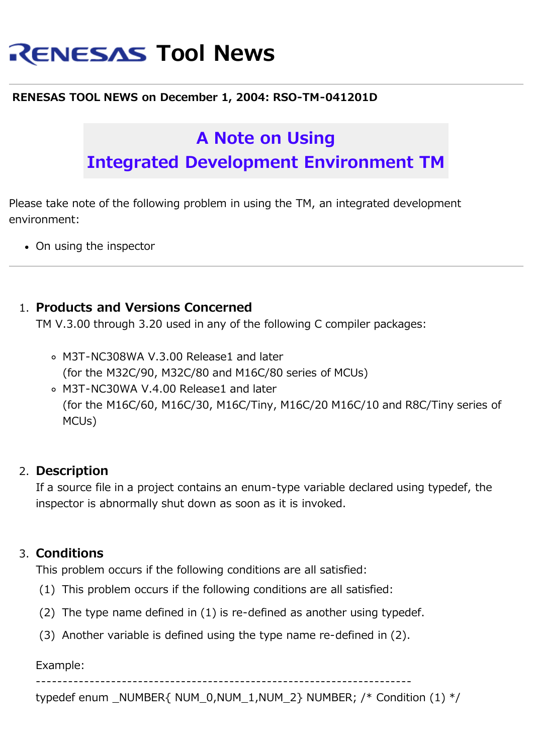# **RENESAS Tool News**

#### **RENESAS TOOL NEWS on December 1, 2004: RSO-TM-041201D**

## **A Note on Using Integrated Development Environment TM**

Please take note of the following problem in using the TM, an integrated development environment:

• On using the inspector

### 1. **Products and Versions Concerned**

TM V.3.00 through 3.20 used in any of the following C compiler packages:

- M3T-NC308WA V.3.00 Release1 and later (for the M32C/90, M32C/80 and M16C/80 series of MCUs)
- M3T-NC30WA V.4.00 Release1 and later (for the M16C/60, M16C/30, M16C/Tiny, M16C/20 M16C/10 and R8C/Tiny series of MCUs)

#### 2. **Description**

If a source file in a project contains an enum-type variable declared using typedef, the inspector is abnormally shut down as soon as it is invoked.

#### 3. **Conditions**

This problem occurs if the following conditions are all satisfied:

- (1) This problem occurs if the following conditions are all satisfied:
- (2) The type name defined in (1) is re-defined as another using typedef.
- (3) Another variable is defined using the type name re-defined in (2).

Example:

----------------------------------------------------------------------

typedef enum \_NUMBER{ NUM\_0,NUM\_1,NUM\_2} NUMBER; /\* Condition (1) \*/